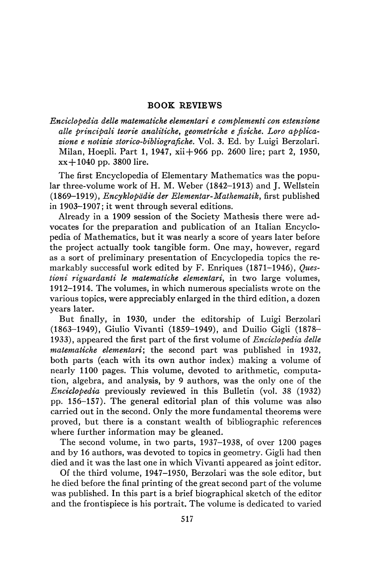## **BOOK REVIEWS**

*Enciclopedia dette matematiche elementari e complementi con estensione*  alle principali teorie analitiche, geometriche e fisiche. Loro applica*zione e notizie storico-bibliografiche.* Vol. 3. Ed. by Luigi Berzolari. Milan, Hoepli. Part 1, 1947, xii + **966** pp. 2600 lire; part 2, 1950, x x + **1040** pp. **3800** lire.

The first Encyclopedia of Elementary Mathematics was the popular three-volume work of H. M. Weber (1842-1913) and J. Wellstein (1869-1919), *Encyklopddie der Elementar-Mathematik,* first published in 1903-1907; it went through several editions.

Already in a 1909 session of the Society Mathesis there were advocates for the preparation and publication of an Italian Encyclopedia of Mathematics, but it was nearly a score of years later before the project actually took tangible form. One may, however, regard as a sort of preliminary presentation of Encyclopedia topics the remarkably successful work edited by F. Enriques (1871-1946), *Questioni riguardanti le matematiche elementari,* in two large volumes, 1912-1914. The volumes, in which numerous specialists wrote on the various topics, were appreciably enlarged in the third edition, a dozen years later.

But finally, in 1930, under the editorship of Luigi Berzolari (1863-1949), Giulio Vivanti (1859-1949), and Duilio Gigli (1878- 1933), appeared the first part of the first volume of *Enciclopedia dette matematiche elementari;* the second part was published in 1932, both parts (each with its own author index) making a volume of nearly **1100** pages. This volume, devoted to arithmetic, computation, algebra, and analysis, by 9 authors, was the only one of the *Enciclopedia* previously reviewed in this Bulletin (vol. *38* (1932) pp. 156-157). The general editorial plan of this volume was also carried out in the second. Only the more fundamental theorems were proved, but there is a constant wealth of bibliographic references where further information may be gleaned.

The second volume, in two parts, 1937-1938, of over 1200 pages and by 16 authors, was devoted to topics in geometry. Gigli had then died and it was the last one in which Vivanti appeared as joint editor.

Of the third volume, 1947-1950, Berzolari was the sole editor, but he died before the final printing of the great second part of the volume was published. In this part is a brief biographical sketch of the editor and the frontispiece is his portrait. The volume is dedicated to varied